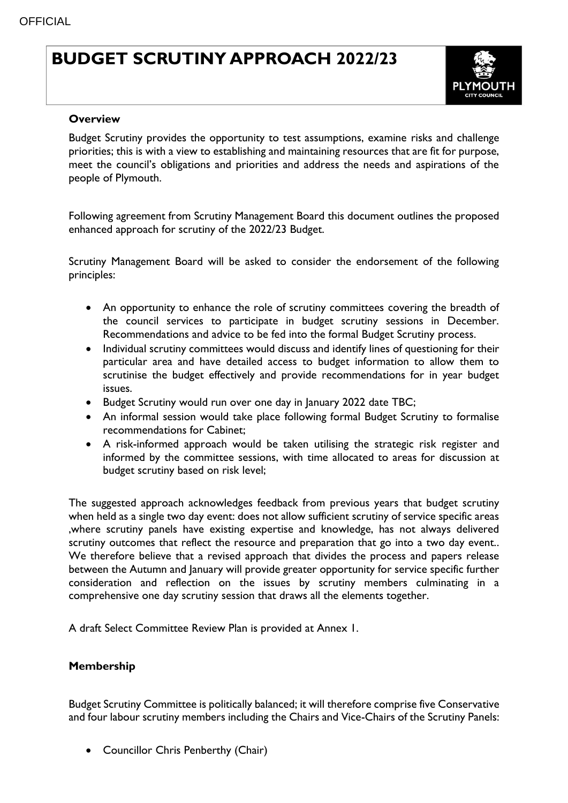## **BUDGET SCRUTINY APPROACH 2022/23**



## **Overview**

Budget Scrutiny provides the opportunity to test assumptions, examine risks and challenge priorities; this is with a view to establishing and maintaining resources that are fit for purpose, meet the council's obligations and priorities and address the needs and aspirations of the people of Plymouth.

Following agreement from Scrutiny Management Board this document outlines the proposed enhanced approach for scrutiny of the 2022/23 Budget.

Scrutiny Management Board will be asked to consider the endorsement of the following principles:

- An opportunity to enhance the role of scrutiny committees covering the breadth of the council services to participate in budget scrutiny sessions in December. Recommendations and advice to be fed into the formal Budget Scrutiny process.
- Individual scrutiny committees would discuss and identify lines of questioning for their particular area and have detailed access to budget information to allow them to scrutinise the budget effectively and provide recommendations for in year budget issues.
- Budget Scrutiny would run over one day in January 2022 date TBC;
- An informal session would take place following formal Budget Scrutiny to formalise recommendations for Cabinet;
- A risk-informed approach would be taken utilising the strategic risk register and informed by the committee sessions, with time allocated to areas for discussion at budget scrutiny based on risk level;

The suggested approach acknowledges feedback from previous years that budget scrutiny when held as a single two day event: does not allow sufficient scrutiny of service specific areas ,where scrutiny panels have existing expertise and knowledge, has not always delivered scrutiny outcomes that reflect the resource and preparation that go into a two day event.. We therefore believe that a revised approach that divides the process and papers release between the Autumn and January will provide greater opportunity for service specific further consideration and reflection on the issues by scrutiny members culminating in a comprehensive one day scrutiny session that draws all the elements together.

A draft Select Committee Review Plan is provided at Annex 1.

## **Membership**

Budget Scrutiny Committee is politically balanced; it will therefore comprise five Conservative and four labour scrutiny members including the Chairs and Vice-Chairs of the Scrutiny Panels:

• Councillor Chris Penberthy (Chair)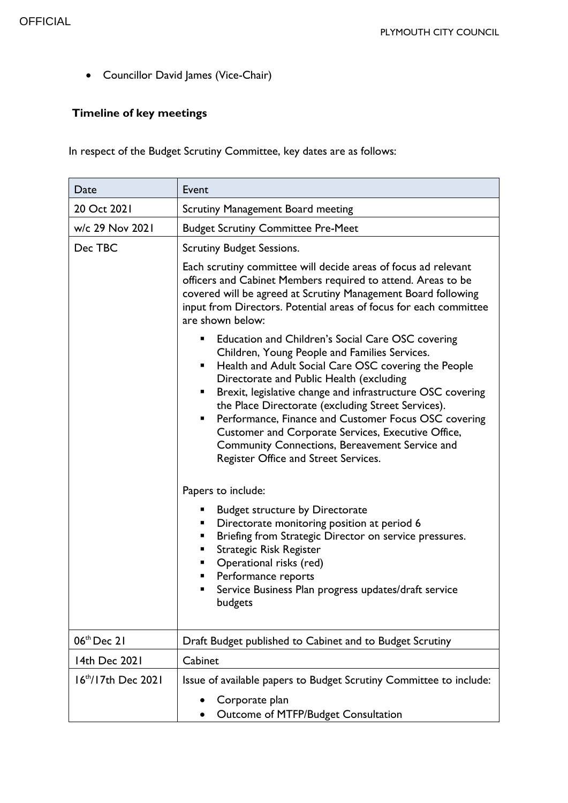Councillor David James (Vice-Chair)

## **Timeline of key meetings**

In respect of the Budget Scrutiny Committee, key dates are as follows:

| Date                    | Event                                                                                                                                                                                                                                                                                                                                                                                                                                                                                                                                        |
|-------------------------|----------------------------------------------------------------------------------------------------------------------------------------------------------------------------------------------------------------------------------------------------------------------------------------------------------------------------------------------------------------------------------------------------------------------------------------------------------------------------------------------------------------------------------------------|
| 20 Oct 2021             | Scrutiny Management Board meeting                                                                                                                                                                                                                                                                                                                                                                                                                                                                                                            |
| w/c 29 Nov 2021         | <b>Budget Scrutiny Committee Pre-Meet</b>                                                                                                                                                                                                                                                                                                                                                                                                                                                                                                    |
| Dec TBC                 | <b>Scrutiny Budget Sessions.</b>                                                                                                                                                                                                                                                                                                                                                                                                                                                                                                             |
|                         | Each scrutiny committee will decide areas of focus ad relevant<br>officers and Cabinet Members required to attend. Areas to be<br>covered will be agreed at Scrutiny Management Board following<br>input from Directors. Potential areas of focus for each committee<br>are shown below:                                                                                                                                                                                                                                                     |
|                         | Education and Children's Social Care OSC covering<br>Children, Young People and Families Services.<br>Health and Adult Social Care OSC covering the People<br>Directorate and Public Health (excluding<br>Brexit, legislative change and infrastructure OSC covering<br>ш<br>the Place Directorate (excluding Street Services).<br>Performance, Finance and Customer Focus OSC covering<br>٠<br>Customer and Corporate Services, Executive Office,<br>Community Connections, Bereavement Service and<br>Register Office and Street Services. |
|                         | Papers to include:                                                                                                                                                                                                                                                                                                                                                                                                                                                                                                                           |
|                         | <b>Budget structure by Directorate</b><br>Directorate monitoring position at period 6<br>ш<br>Briefing from Strategic Director on service pressures.<br>٠<br>Strategic Risk Register<br>Operational risks (red)<br>ш<br>Performance reports<br>Service Business Plan progress updates/draft service<br>budgets                                                                                                                                                                                                                               |
| 06 <sup>th</sup> Dec 21 | Draft Budget published to Cabinet and to Budget Scrutiny                                                                                                                                                                                                                                                                                                                                                                                                                                                                                     |
| 14th Dec 2021           | Cabinet                                                                                                                                                                                                                                                                                                                                                                                                                                                                                                                                      |
| $16th/17th$ Dec 2021    | Issue of available papers to Budget Scrutiny Committee to include:<br>Corporate plan                                                                                                                                                                                                                                                                                                                                                                                                                                                         |
|                         | Outcome of MTFP/Budget Consultation                                                                                                                                                                                                                                                                                                                                                                                                                                                                                                          |